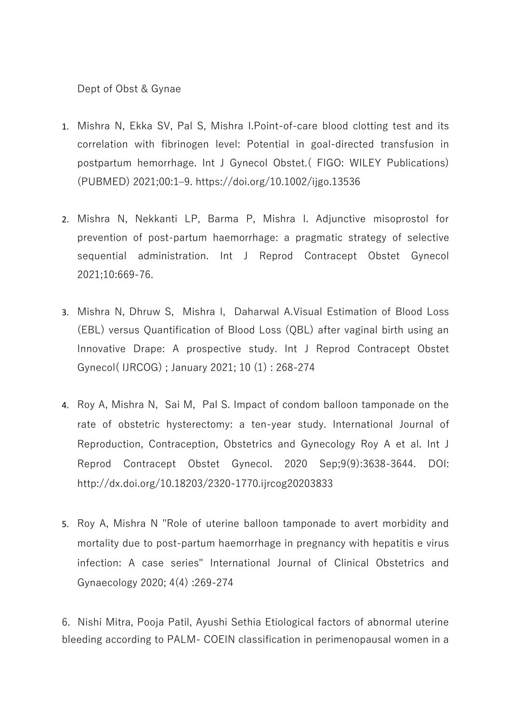Dept of Obst & Gynae

- 1. Mishra N, Ekka SV, Pal S, Mishra I.Point-of-care blood clotting test and its correlation with fibrinogen level: Potential in goal-directed transfusion in postpartum hemorrhage. Int J Gynecol Obstet.( FIGO: WILEY Publications) (PUBMED) 2021;00:1–9.<https://doi.org/10.1002/ijgo.13536>
- 2. Mishra N, Nekkanti LP, Barma P, Mishra I. Adjunctive misoprostol for prevention of post-partum haemorrhage: a pragmatic strategy of selective sequential administration. Int J Reprod Contracept Obstet Gynecol 2021;10:669-76.
- 3. Mishra N, Dhruw S, Mishra I, Daharwal A.Visual Estimation of Blood Loss (EBL) versus Quantification of Blood Loss (QBL) after vaginal birth using an Innovative Drape: A prospective study. Int J Reprod Contracept Obstet Gynecol( IJRCOG) ; January 2021; 10 (1) : 268-274
- 4. Roy A, Mishra N, Sai M, Pal S. Impact of condom balloon tamponade on the rate of obstetric hysterectomy: a ten-year study. International Journal of Reproduction, Contraception, Obstetrics and Gynecology Roy A et al. Int J Reprod Contracept Obstet Gynecol. 2020 Sep;9(9):3638-3644. DOI: <http://dx.doi.org/10.18203/2320-1770.ijrcog20203833>
- 5. Roy A, Mishra N "Role of uterine balloon tamponade to avert morbidity and mortality due to post-partum haemorrhage in pregnancy with hepatitis e virus infection: A case series" International Journal of Clinical Obstetrics and Gynaecology 2020; 4(4) :269-274

6. Nishi Mitra, Pooja Patil, Ayushi Sethia Etiological factors of abnormal uterine bleeding according to PALM- COEIN classification in perimenopausal women in a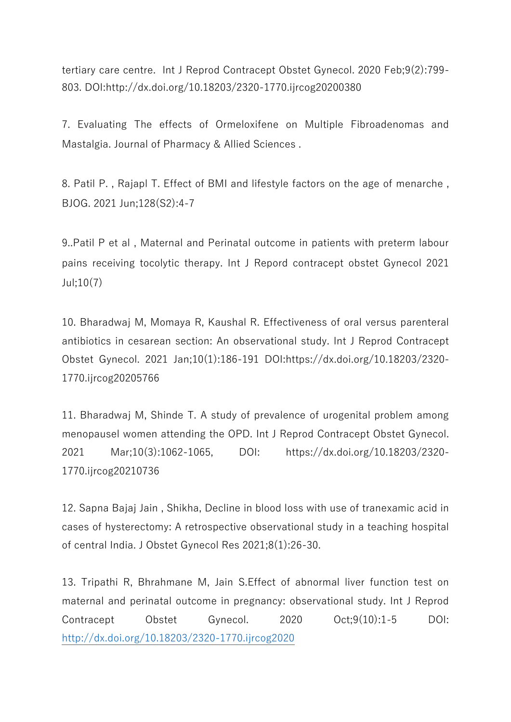tertiary care centre. Int J Reprod Contracept Obstet Gynecol. 2020 Feb;9(2):799- 803. DOI:http://dx.doi.org/10.18203/2320-1770.ijrcog20200380

7. Evaluating The effects of Ormeloxifene on Multiple Fibroadenomas and Mastalgia. Journal of Pharmacy & Allied Sciences .

8. Patil P. , Rajapl T. Effect of BMI and lifestyle factors on the age of menarche , BJOG. 2021 Jun;128(S2):4-7

9..Patil P et al , Maternal and Perinatal outcome in patients with preterm labour pains receiving tocolytic therapy. Int J Repord contracept obstet Gynecol 2021 Jul;10(7)

10. Bharadwaj M, Momaya R, Kaushal R. Effectiveness of oral versus parenteral antibiotics in cesarean section: An observational study. Int J Reprod Contracept Obstet Gynecol. 2021 Jan;10(1):186-191 DOI:https://dx.doi.org/10.18203/2320- 1770.ijrcog20205766

11. Bharadwaj M, Shinde T. A study of prevalence of urogenital problem among menopausel women attending the OPD. Int J Reprod Contracept Obstet Gynecol. 2021 Mar;10(3):1062-1065, DOI: [https://dx.doi.org/10.18203/2320-](https://dx.doi.org/10.18203/2320-1770.ijrcog20210736) [1770.ijrcog20210736](https://dx.doi.org/10.18203/2320-1770.ijrcog20210736)

12. Sapna Bajaj Jain , Shikha, Decline in blood loss with use of tranexamic acid in cases of hysterectomy: A retrospective observational study in a teaching hospital of central India. J Obstet Gynecol Res 2021;8(1):26-30.

13. Tripathi R, Bhrahmane M, Jain S.Effect of abnormal liver function test on maternal and perinatal outcome in pregnancy: observational study. Int J Reprod Contracept Obstet Gynecol. 2020 Oct;9(10):1-5 DOI: <http://dx.doi.org/10.18203/2320-1770.ijrcog2020>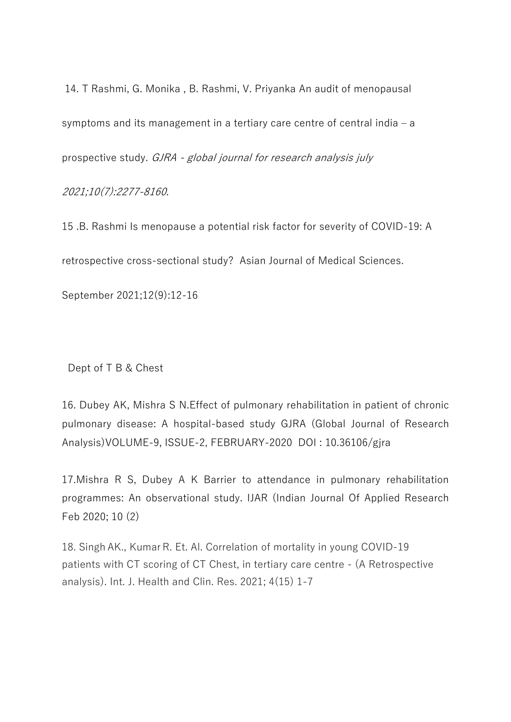14. T Rashmi, G. Monika , B. Rashmi, V. Priyanka An audit of menopausal symptoms and its management in a tertiary care centre of central india – a prospective study. GJRA - global journal for research analysis july

2021;10(7):2277-8160.

15 .B. Rashmi Is menopause a potential risk factor for severity of COVID-19: A retrospective cross-sectional study? Asian Journal of Medical Sciences. September 2021;12(9):12-16

Dept of T B & Chest

16. Dubey AK, Mishra S N.Effect of pulmonary rehabilitation in patient of chronic pulmonary disease: A hospital-based study GJRA (Global Journal of Research Analysis)VOLUME-9, ISSUE-2, FEBRUARY-2020 DOI : 10.36106/gjra

17.Mishra R S, Dubey A K Barrier to attendance in pulmonary rehabilitation programmes: An observational study. IJAR (Indian Journal Of Applied Research Feb 2020; 10 (2)

18. Singh AK., KumarR. Et. Al. Correlation of mortality in young COVID-19 patients with CT scoring of CT Chest, in tertiary care centre - (A Retrospective analysis). Int. J. Health and Clin. Res. 2021; 4(15) 1-7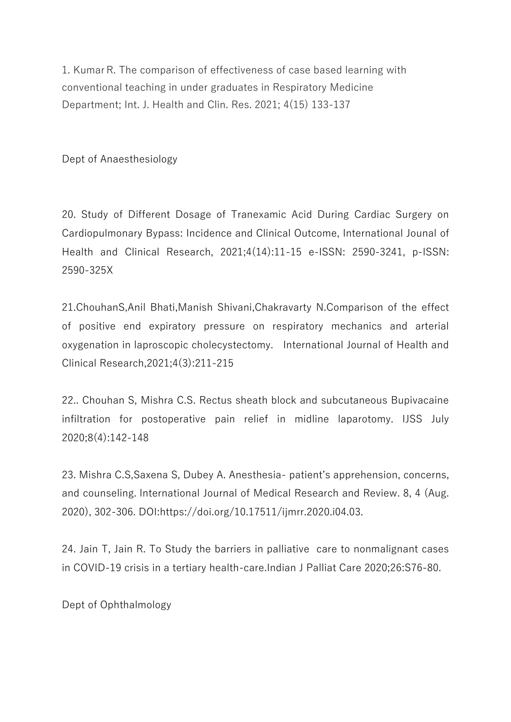1. KumarR. The comparison of effectiveness of case based learning with conventional teaching in under graduates in Respiratory Medicine Department; Int. J. Health and Clin. Res. 2021; 4(15) 133-137

Dept of Anaesthesiology

20. Study of Different Dosage of Tranexamic Acid During Cardiac Surgery on Cardiopulmonary Bypass: Incidence and Clinical Outcome, International Jounal of Health and Clinical Research, 2021;4(14):11-15 e-ISSN: 2590-3241, p-ISSN: 2590-325X

21.ChouhanS,Anil Bhati,Manish Shivani,Chakravarty N.Comparison of the effect of positive end expiratory pressure on respiratory mechanics and arterial oxygenation in laproscopic cholecystectomy. International Journal of Health and Clinical Research,2021;4(3):211-215

22.. Chouhan S, Mishra C.S. Rectus sheath block and subcutaneous Bupivacaine infiltration for postoperative pain relief in midline laparotomy. IJSS July 2020;8(4):142-148

23. Mishra C.S,Saxena S, Dubey A. Anesthesia- patient's apprehension, concerns, and counseling. International Journal of Medical Research and Review. 8, 4 (Aug. 2020), 302-306. DOI:https://doi.org/10.17511/ijmrr.2020.i04.03.

24. Jain T, Jain R. To Study the barriers in palliative care to nonmalignant cases in COVID-19 crisis in a tertiary health-care.Indian J Palliat Care 2020;26:S76-80.

Dept of Ophthalmology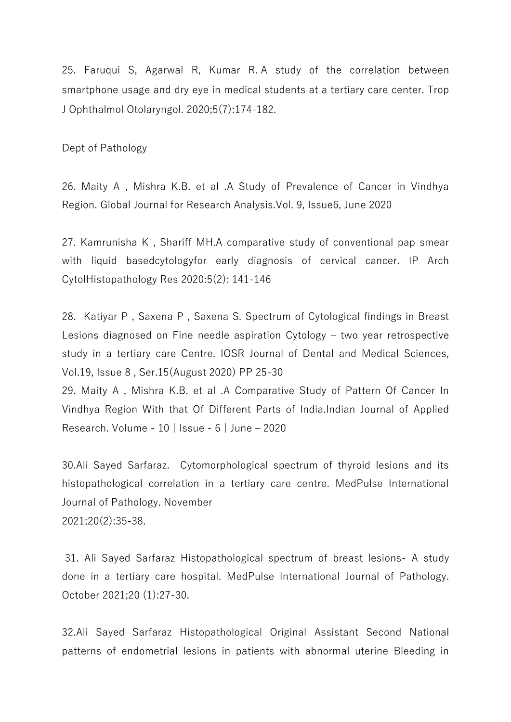25. Faruqui S, Agarwal R, Kumar R. A study of the correlation between smartphone usage and dry eye in medical students at a tertiary care center. Trop J Ophthalmol Otolaryngol. 2020;5(7):174-182.

Dept of Pathology

26. Maity A , Mishra K.B. et al .A Study of Prevalence of Cancer in Vindhya Region. Global Journal for Research Analysis.Vol. 9, Issue6, June 2020

27. Kamrunisha K , Shariff MH.A comparative study of conventional pap smear with liquid basedcytologyfor early diagnosis of cervical cancer. IP Arch CytolHistopathology Res 2020:5(2): 141-146

28. Katiyar P , Saxena P , Saxena S. Spectrum of Cytological findings in Breast Lesions diagnosed on Fine needle aspiration Cytology – two year retrospective study in a tertiary care Centre. IOSR Journal of Dental and Medical Sciences, Vol.19, Issue 8 , Ser.15(August 2020) PP 25-30

29. Maity A , Mishra K.B. et al .A Comparative Study of Pattern Of Cancer In Vindhya Region With that Of Different Parts of India.Indian Journal of Applied Research. Volume - 10 | Issue - 6 | June – 2020

30.Ali Sayed Sarfaraz. Cytomorphological spectrum of thyroid lesions and its histopathological correlation in a tertiary care centre. MedPulse International Journal of Pathology. November 2021;20(2):35-38.

31. Ali Sayed Sarfaraz Histopathological spectrum of breast lesions- A study done in a tertiary care hospital. MedPulse International Journal of Pathology. October 2021;20 (1):27-30.

32.Ali Sayed Sarfaraz Histopathological Original Assistant Second National patterns of endometrial lesions in patients with abnormal uterine Bleeding in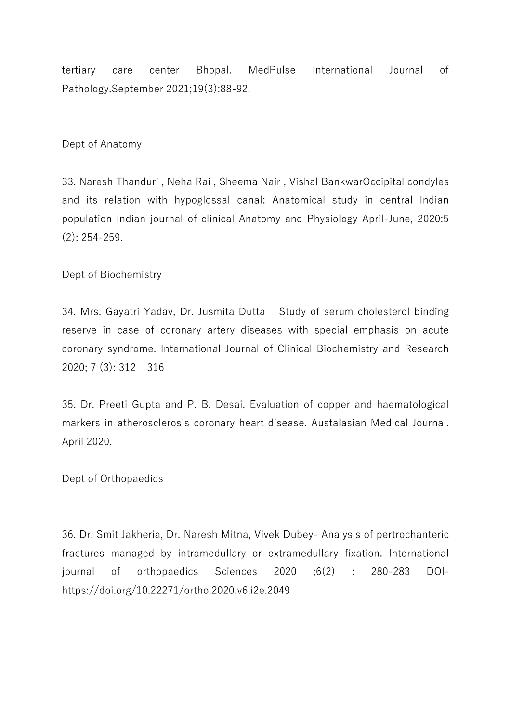tertiary care center Bhopal. MedPulse International Journal of Pathology.September 2021;19(3):88-92.

## Dept of Anatomy

33. Naresh Thanduri , Neha Rai , Sheema Nair , Vishal BankwarOccipital condyles and its relation with hypoglossal canal: Anatomical study in central Indian population Indian journal of clinical Anatomy and Physiology April-June, 2020:5 (2): 254-259.

Dept of Biochemistry

34. Mrs. Gayatri Yadav, Dr. Jusmita Dutta – Study of serum cholesterol binding reserve in case of coronary artery diseases with special emphasis on acute coronary syndrome. International Journal of Clinical Biochemistry and Research 2020; 7 (3): 312 – 316

35. Dr. Preeti Gupta and P. B. Desai. Evaluation of copper and haematological markers in atherosclerosis coronary heart disease. Austalasian Medical Journal. April 2020.

Dept of Orthopaedics

36. Dr. Smit Jakheria, Dr. Naresh Mitna, Vivek Dubey- Analysis of pertrochanteric fractures managed by intramedullary or extramedullary fixation. International journal of orthopaedics Sciences 2020 ;6(2) : 280-283 DOIhttps://doi.org/10.22271/ortho.2020.v6.i2e.2049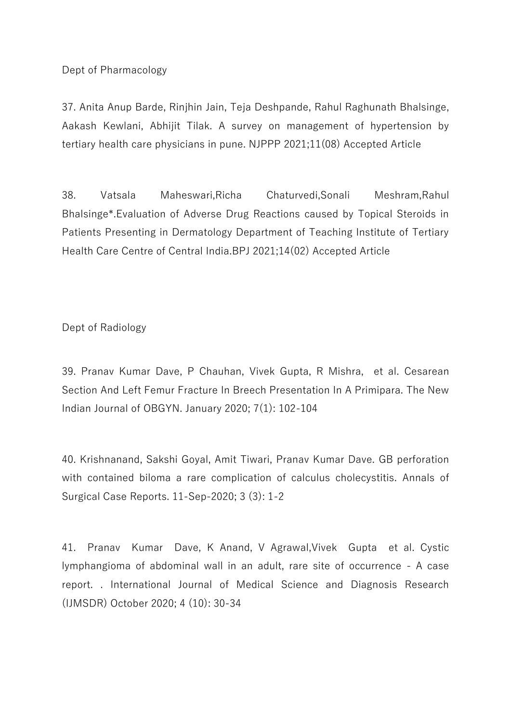Dept of Pharmacology

37. Anita Anup Barde, Rinjhin Jain, Teja Deshpande, Rahul Raghunath Bhalsinge, Aakash Kewlani, Abhijit Tilak. A survey on management of hypertension by tertiary health care physicians in pune. NJPPP 2021;11(08) Accepted Article

38. Vatsala Maheswari,Richa Chaturvedi,Sonali Meshram,Rahul Bhalsinge\*.Evaluation of Adverse Drug Reactions caused by Topical Steroids in Patients Presenting in Dermatology Department of Teaching Institute of Tertiary Health Care Centre of Central India.BPJ 2021;14(02) Accepted Article

Dept of Radiology

39. Pranav Kumar Dave, P Chauhan, Vivek Gupta, R Mishra, et al. Cesarean Section And Left Femur Fracture In Breech Presentation In A Primipara. The New Indian Journal of OBGYN. January 2020; 7(1): 102-104

40. Krishnanand, Sakshi Goyal, Amit Tiwari, Pranav Kumar Dave. GB perforation with contained biloma a rare complication of calculus cholecystitis. Annals of Surgical Case Reports. 11-Sep-2020; 3 (3): 1-2

41. Pranav Kumar Dave, K Anand, V Agrawal,Vivek Gupta et al. Cystic lymphangioma of abdominal wall in an adult, rare site of occurrence - A case report. . International Journal of Medical Science and Diagnosis Research (IJMSDR) October 2020; 4 (10): 30-34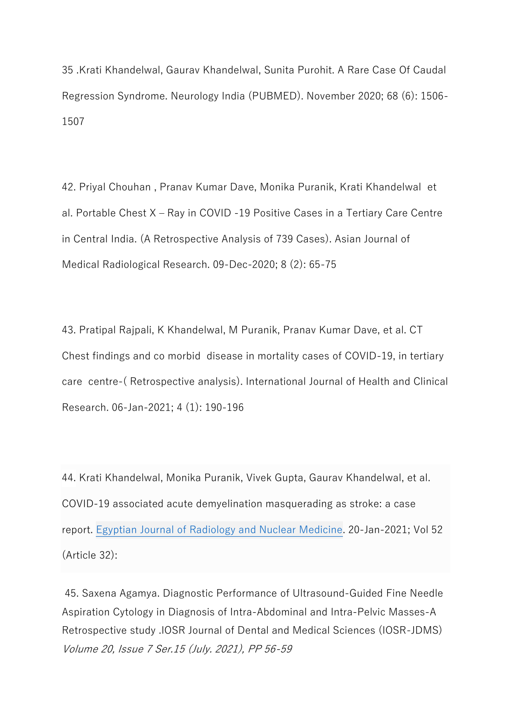35 [.Krati Khandelwal,](https://www.neurologyindia.com/searchresult.asp?search=&author=Krati+Khandelwal&journal=Y&but_search=Search&entries=10&pg=1&s=0) [Gaurav Khandelwal,](https://www.neurologyindia.com/searchresult.asp?search=&author=Gaurav+Khandelwal&journal=Y&but_search=Search&entries=10&pg=1&s=0) [Sunita Purohit.](https://www.neurologyindia.com/searchresult.asp?search=&author=Sunita+Purohit&journal=Y&but_search=Search&entries=10&pg=1&s=0) A Rare Case Of Caudal Regression Syndrome. Neurology India (PUBMED). November 2020; 68 (6): 1506- 1507

42. Priyal Chouhan , Pranav Kumar Dave, Monika Puranik, Krati Khandelwal et al. Portable Chest X – Ray in COVID -19 Positive Cases in a Tertiary Care Centre in Central India. (A Retrospective Analysis of 739 Cases). Asian Journal of Medical Radiological Research. 09-Dec-2020; 8 (2): 65-75

43. Pratipal Rajpali, K Khandelwal, M Puranik, Pranav Kumar Dave, et al. CT Chest findings and co morbid disease in mortality cases of COVID-19, in tertiary care centre-( Retrospective analysis). International Journal of Health and Clinical Research. 06-Jan-2021; 4 (1): 190-196

44. [Krati Khandelwal,](https://ejrnm.springeropen.com/articles/10.1186/s43055-021-00410-7#auth-Krati-Khandelwal) [Monika Puranik,](https://ejrnm.springeropen.com/articles/10.1186/s43055-021-00410-7#auth-Monika-Puranik) [Vivek Gupta,](https://ejrnm.springeropen.com/articles/10.1186/s43055-021-00410-7#auth-Vivek-Gupta) [Gaurav Khandelwal,](https://ejrnm.springeropen.com/articles/10.1186/s43055-021-00410-7#auth-Gaurav-Khandelwal) et al. COVID-19 associated acute demyelination masquerading as stroke: a case report. [Egyptian Journal of Radiology and Nuclear Medicine.](https://ejrnm.springeropen.com/) 20-Jan-2021; Vol 52 (Article 32):

45. Saxena Agamya. Diagnostic Performance of Ultrasound-Guided Fine Needle Aspiration Cytology in Diagnosis of Intra-Abdominal and Intra-Pelvic Masses-A Retrospective study .IOSR Journal of Dental and Medical Sciences (IOSR-JDMS) Volume 20, Issue 7 Ser.15 (July. 2021), PP 56-59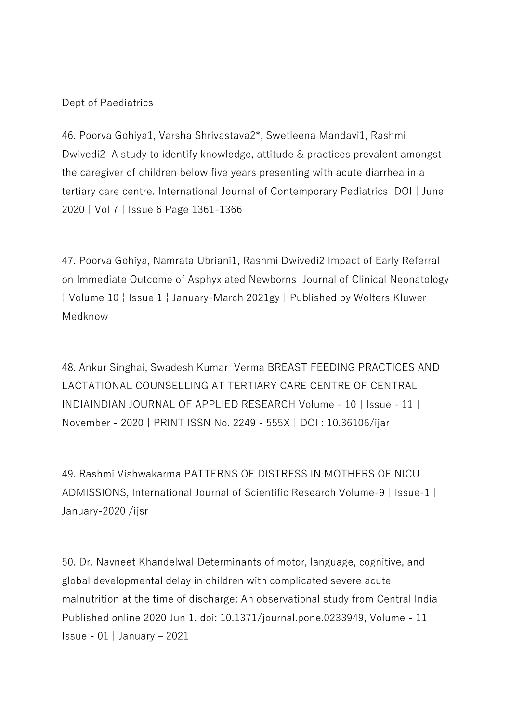## Dept of Paediatrics

46. Poorva Gohiya1, Varsha Shrivastava2\*, Swetleena Mandavi1, Rashmi Dwivedi2 A study to identify knowledge, attitude & practices prevalent amongst the caregiver of children below five years presenting with acute diarrhea in a tertiary care centre. International Journal of Contemporary Pediatrics DOI | June 2020 | Vol 7 | Issue 6 Page 1361-1366

47. Poorva Gohiya, Namrata Ubriani1, Rashmi Dwivedi2 Impact of Early Referral on Immediate Outcome of Asphyxiated Newborns Journal of Clinical Neonatology ¦ Volume 10 ¦ Issue 1 ¦ January-March 2021gy | Published by Wolters Kluwer – Medknow

48. Ankur Singhai, Swadesh Kumar Verma BREAST FEEDING PRACTICES AND LACTATIONAL COUNSELLING AT TERTIARY CARE CENTRE OF CENTRAL INDIAINDIAN JOURNAL OF APPLIED RESEARCH Volume - 10 | Issue - 11 | November - 2020 | PRINT ISSN No. 2249 - 555X | DOI : 10.36106/ijar

49. Rashmi Vishwakarma PATTERNS OF DISTRESS IN MOTHERS OF NICU ADMISSIONS, International Journal of Scientific Research Volume-9 | Issue-1 | January-2020 /ijsr

50. Dr. Navneet Khandelwal Determinants of motor, language, cognitive, and global developmental delay in children with complicated severe acute malnutrition at the time of discharge: An observational study from Central India Published online 2020 Jun 1. doi: [10.1371/journal.pone.0233949,](https://dx.doi.org/10.1371%2Fjournal.pone.0233949) Volume - 11 | Issue - 01 | January – 2021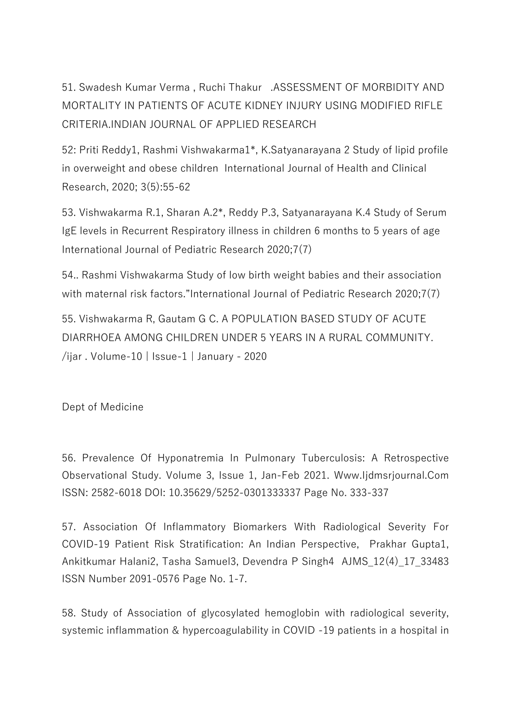51. Swadesh Kumar Verma , Ruchi Thakur .ASSESSMENT OF MORBIDITY AND MORTALITY IN PATIENTS OF ACUTE KIDNEY INJURY USING MODIFIED RIFLE CRITERIA.INDIAN JOURNAL OF APPLIED RESEARCH

52: Priti Reddy1, Rashmi Vishwakarma1\*, K.Satyanarayana 2 Study of lipid profile in overweight and obese children International Journal of Health and Clinical Research, 2020; 3(5):55-62

53. Vishwakarma R.1, Sharan A.2\*, Reddy P.3, Satyanarayana K.4 Study of Serum IgE levels in Recurrent Respiratory illness in children 6 months to 5 years of age International Journal of Pediatric Research 2020;7(7)

54.. Rashmi Vishwakarma Study of low birth weight babies and their association with maternal risk factors."International Journal of Pediatric Research 2020;7(7)

55. Vishwakarma R, Gautam G C. A POPULATION BASED STUDY OF ACUTE DIARRHOEA AMONG CHILDREN UNDER 5 YEARS IN A RURAL COMMUNITY. /ijar . Volume-10 | Issue-1 | January - 2020

Dept of Medicine

56. Prevalence Of Hyponatremia In Pulmonary Tuberculosis: A Retrospective Observational Study. Volume 3, Issue 1, Jan-Feb 2021. Www.Ijdmsrjournal.Com ISSN: 2582-6018 DOI: 10.35629/5252-0301333337 Page No. 333-337

57. Association Of Inflammatory Biomarkers With Radiological Severity For COVID-19 Patient Risk Stratification: An Indian Perspective, Prakhar Gupta1, Ankitkumar Halani2, Tasha Samuel3, Devendra P Singh4 AJMS\_12(4)\_17\_33483 ISSN Number 2091-0576 Page No. 1-7.

58. Study of Association of glycosylated hemoglobin with radiological severity, systemic inflammation & hypercoagulability in COVID -19 patients in a hospital in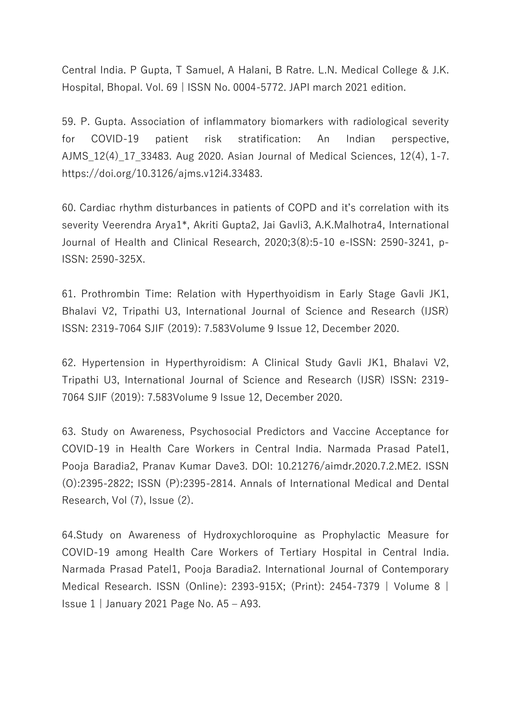Central India. P Gupta, T Samuel, A Halani, B Ratre. L.N. Medical College & J.K. Hospital, Bhopal. Vol. 69 | ISSN No. 0004-5772. JAPI march 2021 edition.

59. P. Gupta. Association of inflammatory biomarkers with radiological severity for COVID-19 patient risk stratification: An Indian perspective, AJMS\_12(4)\_17\_33483. Aug 2020. Asian Journal of Medical Sciences, 12(4), 1-7. https://doi.org/10.3126/ajms.v12i4.33483.

60. Cardiac rhythm disturbances in patients of COPD and it's correlation with its severity Veerendra Arya1\*, Akriti Gupta2, Jai Gavli3, A.K.Malhotra4, International Journal of Health and Clinical Research, 2020;3(8):5-10 e-ISSN: 2590-3241, p-ISSN: 2590-325X.

61. Prothrombin Time: Relation with Hyperthyoidism in Early Stage Gavli JK1, Bhalavi V2, Tripathi U3, International Journal of Science and Research (IJSR) ISSN: 2319-7064 SJIF (2019): 7.583Volume 9 Issue 12, December 2020.

62. Hypertension in Hyperthyroidism: A Clinical Study Gavli JK1, Bhalavi V2, Tripathi U3, International Journal of Science and Research (IJSR) ISSN: 2319- 7064 SJIF (2019): 7.583Volume 9 Issue 12, December 2020.

63. Study on Awareness, Psychosocial Predictors and Vaccine Acceptance for COVID-19 in Health Care Workers in Central India. Narmada Prasad Patel1, Pooja Baradia2, Pranav Kumar Dave3. DOI: 10.21276/aimdr.2020.7.2.ME2. ISSN (O):2395-2822; ISSN (P):2395-2814. Annals of International Medical and Dental Research, Vol (7), Issue (2).

64.Study on Awareness of Hydroxychloroquine as Prophylactic Measure for COVID-19 among Health Care Workers of Tertiary Hospital in Central India. Narmada Prasad Patel1, Pooja Baradia2. International Journal of Contemporary Medical Research. ISSN (Online): 2393-915X; (Print): 2454-7379 | Volume 8 | Issue 1 | January 2021 Page No. A5 – A93.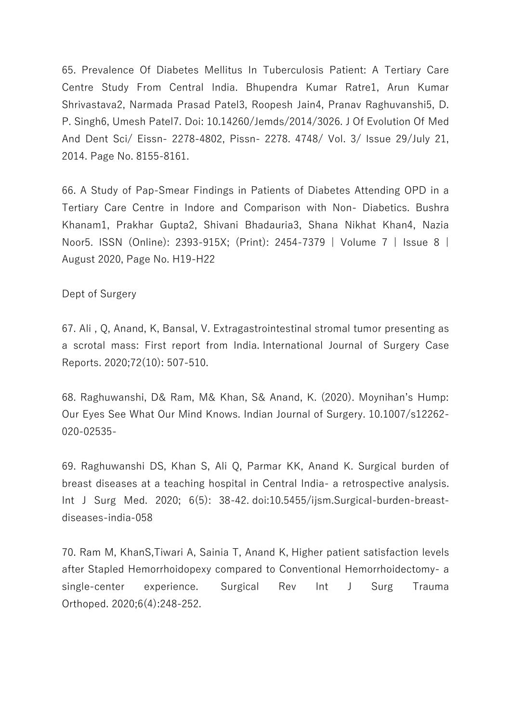65. Prevalence Of Diabetes Mellitus In Tuberculosis Patient: A Tertiary Care Centre Study From Central India. Bhupendra Kumar Ratre1, Arun Kumar Shrivastava2, Narmada Prasad Patel3, Roopesh Jain4, Pranav Raghuvanshi5, D. P. Singh6, Umesh Patel7. Doi: 10.14260/Jemds/2014/3026. J Of Evolution Of Med And Dent Sci/ Eissn- 2278-4802, Pissn- 2278. 4748/ Vol. 3/ Issue 29/July 21, 2014. Page No. 8155-8161.

66. A Study of Pap-Smear Findings in Patients of Diabetes Attending OPD in a Tertiary Care Centre in Indore and Comparison with Non- Diabetics. Bushra Khanam1, Prakhar Gupta2, Shivani Bhadauria3, Shana Nikhat Khan4, Nazia Noor5. ISSN (Online): 2393-915X; (Print): 2454-7379 | Volume 7 | Issue 8 | August 2020, Page No. H19-H22

Dept of Surgery

67. Ali , Q, Anand, K, Bansal, V. Extragastrointestinal stromal tumor presenting as a scrotal mass: First report from India. International Journal of Surgery Case Reports. 2020;72(10): 507-510.

68. Raghuwanshi, D& Ram, M& Khan, S& Anand, K. (2020). Moynihan's Hump: Our Eyes See What Our Mind Knows. Indian Journal of Surgery. 10.1007/s12262- 020-02535-

69. Raghuwanshi DS, Khan S, Ali Q, Parmar KK, Anand K. Surgical burden of breast diseases at a teaching hospital in Central India- a retrospective analysis. Int J Surg Med. 2020; 6(5): 38-42. [doi:10.5455/ijsm.Surgical-burden-breast](http://dx.doi.org/10.5455/ijsm.Surgical-burden-breast-diseases-india-058)[diseases-india-058](http://dx.doi.org/10.5455/ijsm.Surgical-burden-breast-diseases-india-058)

70. Ram M, KhanS,Tiwari A, Sainia T, Anand K, Higher patient satisfaction levels after Stapled Hemorrhoidopexy compared to Conventional Hemorrhoidectomy- a single-center experience. Surgical Rev Int J Surg Trauma Orthoped. 2020;6(4):248-252.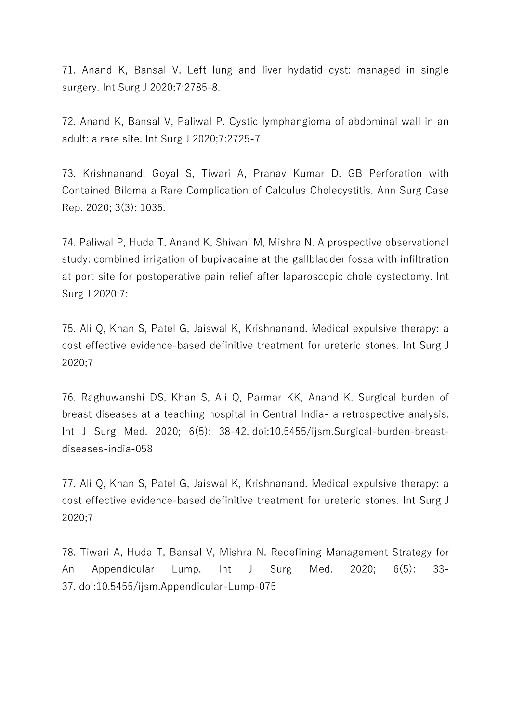71. Anand K, Bansal V. Left lung and liver hydatid cyst: managed in single surgery. Int Surg J 2020;7:2785-8.

72. Anand K, Bansal V, Paliwal P. Cystic lymphangioma of abdominal wall in an adult: a rare site. Int Surg J 2020;7:2725-7

73. Krishnanand, Goyal S, Tiwari A, Pranav Kumar D. GB Perforation with Contained Biloma a Rare Complication of Calculus Cholecystitis. Ann Surg Case Rep. 2020; 3(3): 1035.

74. Paliwal P, Huda T, Anand K, Shivani M, Mishra N. A prospective observational study: combined irrigation of bupivacaine at the gallbladder fossa with infiltration at port site for postoperative pain relief after laparoscopic chole cystectomy. Int Surg J 2020;7:

75. Ali Q, Khan S, Patel G, Jaiswal K, Krishnanand. Medical expulsive therapy: a cost effective evidence-based definitive treatment for ureteric stones. Int Surg J 2020;7

76. Raghuwanshi DS, Khan S, Ali Q, Parmar KK, Anand K. Surgical burden of breast diseases at a teaching hospital in Central India- a retrospective analysis. Int J Surg Med. 2020; 6(5): 38-42. [doi:10.5455/ijsm.Surgical-burden-breast](http://dx.doi.org/10.5455/ijsm.Surgical-burden-breast-diseases-india-058)[diseases-india-058](http://dx.doi.org/10.5455/ijsm.Surgical-burden-breast-diseases-india-058)

77. Ali Q, Khan S, Patel G, Jaiswal K, Krishnanand. Medical expulsive therapy: a cost effective evidence-based definitive treatment for ureteric stones. Int Surg J 2020;7

78. Tiwari A, Huda T, Bansal V, Mishra N. Redefining Management Strategy for An Appendicular Lump. Int J Surg Med. 2020; 6(5): 33- 37. [doi:10.5455/ijsm.Appendicular-Lump-075](http://dx.doi.org/10.5455/ijsm.Appendicular-Lump-075)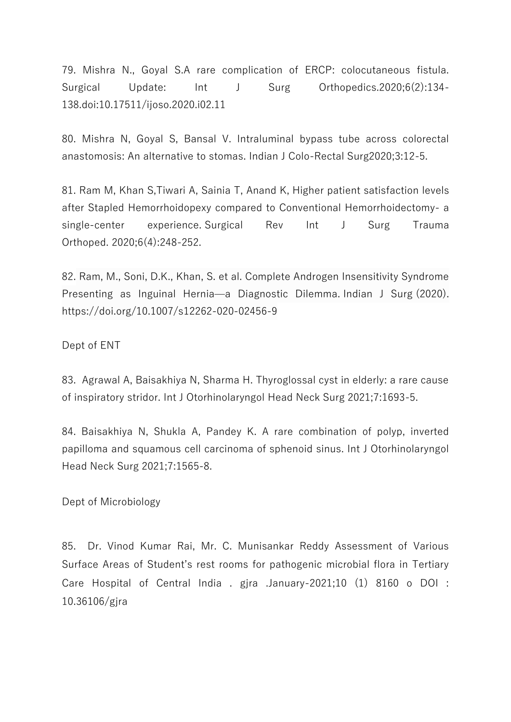79. Mishra N., Goyal S.A rare complication of ERCP: colocutaneous fistula. Surgical Update: Int J Surg Orthopedics.2020;6(2):134-138.doi:10.17511/ijoso.2020.i02.11

80. Mishra N, Goyal S, Bansal V. Intraluminal bypass tube across colorectal anastomosis: An alternative to stomas. Indian J Colo-Rectal Surg2020;3:12-5.

81. Ram M, Khan S,Tiwari A, Sainia T, Anand K, Higher patient satisfaction levels after Stapled Hemorrhoidopexy compared to Conventional Hemorrhoidectomy- a single-center experience. Surgical Rev Int J Surg Trauma Orthoped. 2020;6(4):248-252.

82. Ram, M., Soni, D.K., Khan, S. et al. Complete Androgen Insensitivity Syndrome Presenting as Inguinal Hernia—a Diagnostic Dilemma. Indian J Surg (2020). <https://doi.org/10.1007/s12262-020-02456-9>

Dept of ENT

83. Agrawal A, Baisakhiya N, Sharma H. Thyroglossal cyst in elderly: a rare cause of inspiratory stridor. Int J Otorhinolaryngol Head Neck Surg 2021;7:1693-5.

84. Baisakhiya N, Shukla A, Pandey K. A rare combination of polyp, inverted papilloma and squamous cell carcinoma of sphenoid sinus. Int J Otorhinolaryngol Head Neck Surg 2021;7:1565-8.

Dept of Microbiology

85. Dr. Vinod Kumar Rai, Mr. C. Munisankar Reddy Assessment of Various Surface Areas of Student's rest rooms for pathogenic microbial flora in Tertiary Care Hospital of Central India . gjra .January-2021;10 (1) 8160 o DOI : 10.36106/gjra